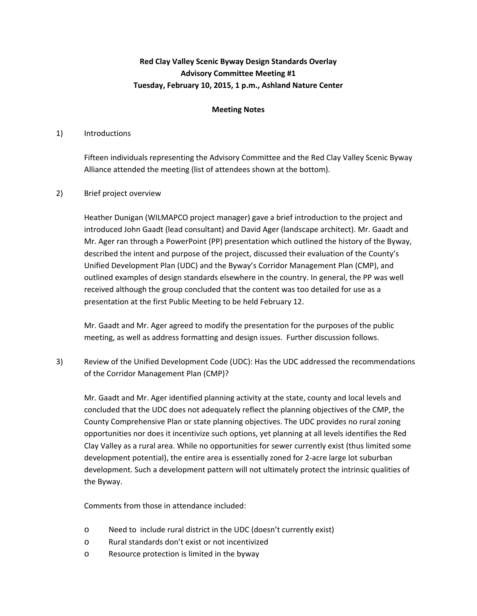# **Red Clay Valley Scenic Byway Design Standards Overlay Advisory Committee Meeting #1 Tuesday, February 10, 2015, 1 p.m., Ashland Nature Center**

### **Meeting Notes**

### 1) Introductions

Fifteen individuals representing the Advisory Committee and the Red Clay Valley Scenic Byway Alliance attended the meeting (list of attendees shown at the bottom).

### 2) Brief project overview

Heather Dunigan (WILMAPCO project manager) gave a brief introduction to the project and introduced John Gaadt (lead consultant) and David Ager (landscape architect). Mr. Gaadt and Mr. Ager ran through a PowerPoint (PP) presentation which outlined the history of the Byway, described the intent and purpose of the project, discussed their evaluation of the County's Unified Development Plan (UDC) and the Byway's Corridor Management Plan (CMP), and outlined examples of design standards elsewhere in the country. In general, the PP was well received although the group concluded that the content was too detailed for use as a presentation at the first Public Meeting to be held February 12.

Mr. Gaadt and Mr. Ager agreed to modify the presentation for the purposes of the public meeting, as well as address formatting and design issues. Further discussion follows.

3) Review of the Unified Development Code (UDC): Has the UDC addressed the recommendations of the Corridor Management Plan (CMP)?

Mr. Gaadt and Mr. Ager identified planning activity at the state, county and local levels and concluded that the UDC does not adequately reflect the planning objectives of the CMP, the County Comprehensive Plan or state planning objectives. The UDC provides no rural zoning opportunities nor does it incentivize such options, yet planning at all levels identifies the Red Clay Valley as a rural area. While no opportunities for sewer currently exist (thus limited some development potential), the entire area is essentially zoned for 2‐acre large lot suburban development. Such a development pattern will not ultimately protect the intrinsic qualities of the Byway.

Comments from those in attendance included:

- o Need to include rural district in the UDC (doesn't currently exist)
- o Rural standards don't exist or not incentivized
- o Resource protection is limited in the byway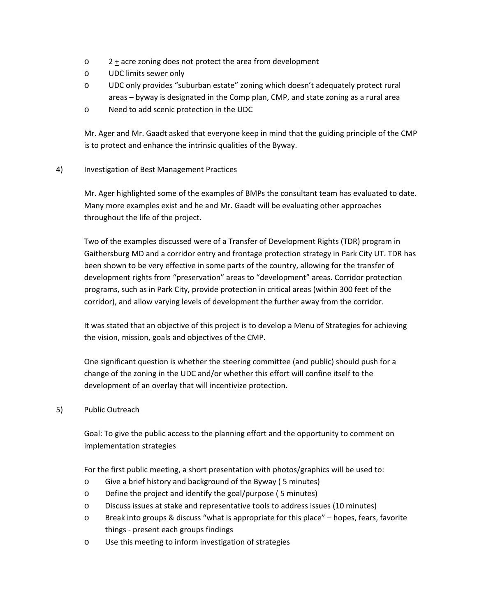- o 2 + acre zoning does not protect the area from development
- o UDC limits sewer only
- o UDC only provides "suburban estate" zoning which doesn't adequately protect rural areas – byway is designated in the Comp plan, CMP, and state zoning as a rural area
- o Need to add scenic protection in the UDC

Mr. Ager and Mr. Gaadt asked that everyone keep in mind that the guiding principle of the CMP is to protect and enhance the intrinsic qualities of the Byway.

4) Investigation of Best Management Practices

Mr. Ager highlighted some of the examples of BMPs the consultant team has evaluated to date. Many more examples exist and he and Mr. Gaadt will be evaluating other approaches throughout the life of the project.

Two of the examples discussed were of a Transfer of Development Rights (TDR) program in Gaithersburg MD and a corridor entry and frontage protection strategy in Park City UT. TDR has been shown to be very effective in some parts of the country, allowing for the transfer of development rights from "preservation" areas to "development" areas. Corridor protection programs, such as in Park City, provide protection in critical areas (within 300 feet of the corridor), and allow varying levels of development the further away from the corridor.

It was stated that an objective of this project is to develop a Menu of Strategies for achieving the vision, mission, goals and objectives of the CMP.

One significant question is whether the steering committee (and public) should push for a change of the zoning in the UDC and/or whether this effort will confine itself to the development of an overlay that will incentivize protection.

5) Public Outreach

Goal: To give the public access to the planning effort and the opportunity to comment on implementation strategies

For the first public meeting, a short presentation with photos/graphics will be used to:

- o Give a brief history and background of the Byway ( 5 minutes)
- o Define the project and identify the goal/purpose ( 5 minutes)
- o Discuss issues at stake and representative tools to address issues (10 minutes)
- o Break into groups & discuss "what is appropriate for this place" hopes, fears, favorite things ‐ present each groups findings
- o Use this meeting to inform investigation of strategies